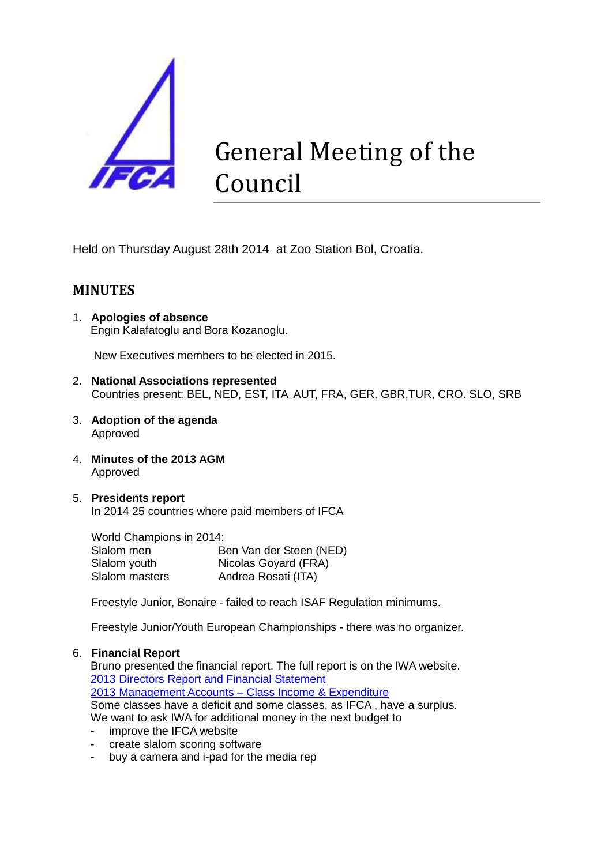

# General Meeting of the Council

Held on Thursday August 28th 2014 at Zoo Station Bol, Croatia.

# **MINUTES**

1. **Apologies of absence** Engin Kalafatoglu and Bora Kozanoglu.

New Executives members to be elected in 2015.

- 2. **National Associations represented** Countries present: BEL, NED, EST, ITA AUT, FRA, GER, GBR,TUR, CRO. SLO, SRB
- 3. **Adoption of the agenda** Approved
- 4. **Minutes of the 2013 AGM** Approved
- 5. **Presidents report** In 2014 25 countries where paid members of IFCA

World Champions in 2014: Slalom men Ben Van der Steen (NED) Slalom youth **Nicolas Goyard (FRA)**<br>Slalom masters **Andrea Rosati (ITA)** Andrea Rosati (ITA)

Freestyle Junior, Bonaire - failed to reach ISAF Regulation minimums.

Freestyle Junior/Youth European Championships - there was no organizer.

### 6. **Financial Report**

Bruno presented the financial report. The full report is on the IWA website. [2013 Directors Report and Financial Statement](http://www.internationalwindsurfing.com/userfiles/documents/IWA_stat_acs_140930.pdf) [2013 Management Accounts –](http://www.internationalwindsurfing.com/userfiles/documents/IWA_stat_acs_140930.pdf) Class Income & Expenditure

Some classes have a deficit and some classes, as IFCA , have a surplus. We want to ask IWA for additional money in the next budget to

- improve the IFCA website
- create slalom scoring software
- buy a camera and i-pad for the media rep